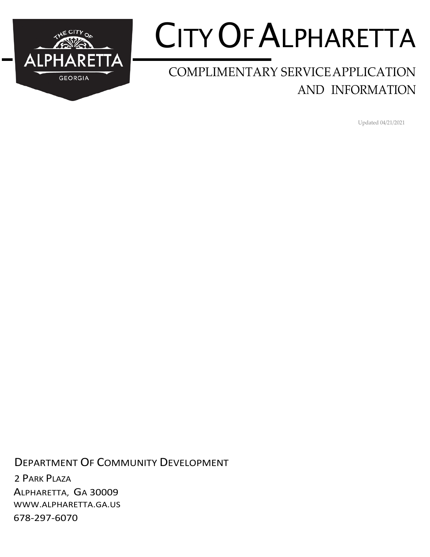

# CITYOF ALPHARETTA

### COMPLIMENTARY SERVICEAPPLICATION AND INFORMATION

Updated 04/21/2021

DEPARTMENT OF COMMUNITY DEVELOPMENT 2 PARK PLAZA ALPHARETTA, GA 30009 [WWW.ALPHARETTA.GA.US](http://www.alpharetta.ga.us/) 678-297-6070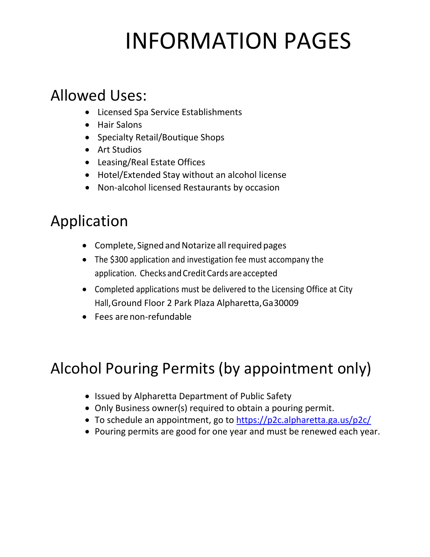# INFORMATION PAGES

## Allowed Uses:

- Licensed Spa Service Establishments
- Hair Salons
- Specialty Retail/Boutique Shops
- Art Studios
- Leasing/Real Estate Offices
- Hotel/Extended Stay without an alcohol license
- Non-alcohol licensed Restaurants by occasion

# Application

- Complete, Signed and Notarize all required pages
- The \$300 application and investigation fee must accompany the application. Checks and Credit Cards are accepted
- Completed applications must be delivered to the Licensing Office at City Hall, Ground Floor 2 Park Plaza Alpharetta, Ga30009
- Fees arenon-refundable

# Alcohol Pouring Permits (by appointment only)

- Issued by Alpharetta Department of Public Safety
- Only Business owner(s) required to obtain a pouring permit.
- To schedule an appointment, go to<https://p2c.alpharetta.ga.us/p2c/>
- Pouring permits are good for one year and must be renewed each year.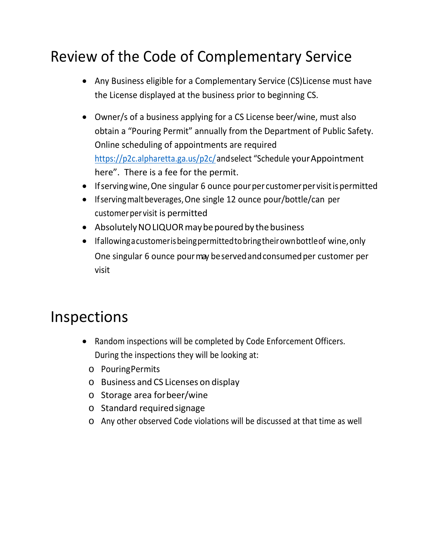# Review of the Code of Complementary Service

- Any Business eligible for a Complementary Service (CS)License must have the License displayed at the business prior to beginning CS.
- Owner/s of a business applying for a CS License beer/wine, must also obtain a "Pouring Permit" annually from the Department of Public Safety. Online scheduling of appointments are required [https://p2c.alpharetta.ga.us/p2c/a](https://p2c.alpharetta.ga.us/p2c/)nd select "Schedule your Appointment" here". There is a fee for the permit.
- If serving wine, One singular 6 ounce pour per customer per visit is permitted
- If serving malt beverages, One single 12 ounce pour/bottle/can per customer per visit is permitted
- Absolutely NO LIQUOR may be poured by the business
- Ifallowing a customer is being permitted to bring their own bottle of wine, only One singular 6 ounce pour may be served and consumed per customer per visit

## Inspections

- Random inspections will be completed by Code Enforcement Officers. During the inspections they will be looking at:
	- o PouringPermits
	- o Business and CS Licenses on display
	- o Storage area forbeer/wine
	- o Standard requiredsignage
	- o Any other observed Code violations will be discussed at that time as well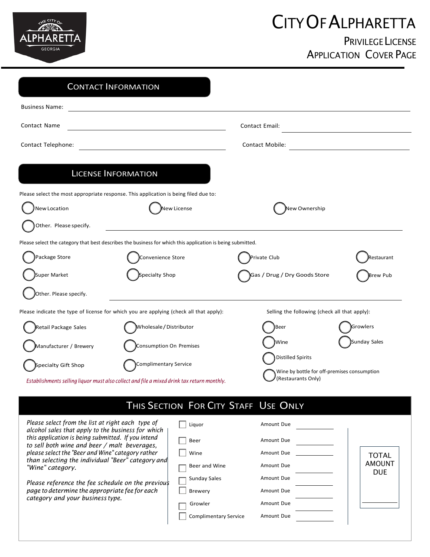

# CITYOF ALPHARETTA

### PRIVILEGE LICENSE APPLICATION COVER PAGE

|                        | <b>CONTACT INFORMATION</b>                                                                                 |                                                                                               |                 |
|------------------------|------------------------------------------------------------------------------------------------------------|-----------------------------------------------------------------------------------------------|-----------------|
| <b>Business Name:</b>  |                                                                                                            |                                                                                               |                 |
| Contact Name           |                                                                                                            | <b>Contact Email:</b>                                                                         |                 |
| Contact Telephone:     |                                                                                                            | <b>Contact Mobile:</b>                                                                        |                 |
|                        | <b>LICENSE INFORMATION</b>                                                                                 |                                                                                               |                 |
| New Location           | Please select the most appropriate response. This application is being filed due to:<br>New License        | New Ownership                                                                                 |                 |
| Other. Please specify. |                                                                                                            |                                                                                               |                 |
|                        | Please select the category that best describes the business for which this application is being submitted. |                                                                                               |                 |
| Package Store          | Convenience Store                                                                                          | Private Club                                                                                  | Restaurant      |
| Super Market           | Specialty Shop                                                                                             | Gas / Drug / Dry Goods Store                                                                  | <b>Brew Pub</b> |
| Other. Please specify. |                                                                                                            |                                                                                               |                 |
|                        | Please indicate the type of license for which you are applying (check all that apply):                     | Selling the following (check all that apply):                                                 |                 |
| Retail Package Sales   | Wholesale/Distributor                                                                                      | Beer                                                                                          | Growlers        |
| Manufacturer / Brewery | Consumption On Premises                                                                                    | Wine                                                                                          | Sunday Sales    |
| Specialty Gift Shop    | Complimentary Service                                                                                      | <b>Distilled Spirits</b><br>Wine by bottle for off-premises consumption<br>(Restaurants Only) |                 |
|                        | Establishments selling liquor must also collect and file a mixed drink tax return monthly.                 |                                                                                               |                 |

### THIS SECTION FOR CITY STAFF USE ONLY

| Please select from the list at right each type of<br>alcohol sales that apply to the business for which | Liguor                       | Amount Due |                      |
|---------------------------------------------------------------------------------------------------------|------------------------------|------------|----------------------|
| this application is being submitted. If you intend<br>to sell both wine and beer / malt beverages,      | Beer                         | Amount Due |                      |
| please select the "Beer and Wine" category rather                                                       | Wine                         | Amount Due | <b>TOTAL</b>         |
| than selecting the individual "Beer" category and<br>"Wine" category.                                   | Beer and Wine                | Amount Due | AMOUNT<br><b>DUE</b> |
| Please reference the fee schedule on the previous                                                       | <b>Sunday Sales</b>          | Amount Due |                      |
| page to determine the appropriate fee for each<br>category and your business type.                      | <b>Brewery</b>               | Amount Due |                      |
|                                                                                                         | Growler                      | Amount Due |                      |
|                                                                                                         | <b>Complimentary Service</b> | Amount Due |                      |
|                                                                                                         |                              |            |                      |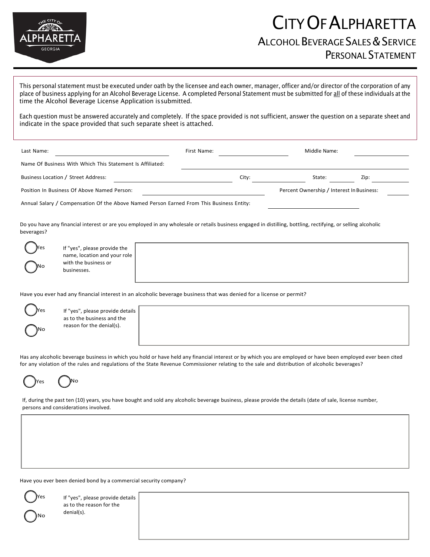

This personal statement must be executed under oath by the licensee and each owner, manager, officer and/or director of the corporation of any place of business applying for an Alcohol Beverage License. A completed Personal Statement must be submitted for all of these individuals at the time the Alcohol Beverage License Application issubmitted.

Each question must be answered accurately and completely. If the space provided is not sufficient, answer the question on a separate sheet and indicate in the space provided that such separate sheet is attached.

| Last Name:                                                | First Name: |       | Middle Name:                              |      |
|-----------------------------------------------------------|-------------|-------|-------------------------------------------|------|
| Name Of Business With Which This Statement Is Affiliated: |             |       |                                           |      |
| Business Location / Street Address:                       |             | City: | State:                                    | Zip: |
| Position In Business Of Above Named Person:               |             |       | Percent Ownership / Interest In Business: |      |

Annual Salary / Compensation Of the Above Named Person Earned From This Business Entity:

Do you have any financial interest or are you employed in any wholesale or retails business engaged in distilling, bottling, rectifying, or selling alcoholic beverages?



If "yes", please provide the name, location and your role with the business or businesses.

Have you ever had any financial interest in an alcoholic beverage business that was denied for a license or permit?



If "yes", please provide details as to the business and the reason for the denial(s).

Has any alcoholic beverage business in which you hold or have held any financial interest or by which you are employed or have been employed ever been cited for any violation of the rules and regulations of the State Revenue Commissioner relating to the sale and distribution of alcoholic beverages?



If, during the past ten (10) years, you have bought and sold any alcoholic beverage business, please provide the details (date of sale, license number, persons and considerations involved.

Have you ever been denied bond by a commercial security company?

Yes No

If "yes", please provide details as to the reason for the denial(s).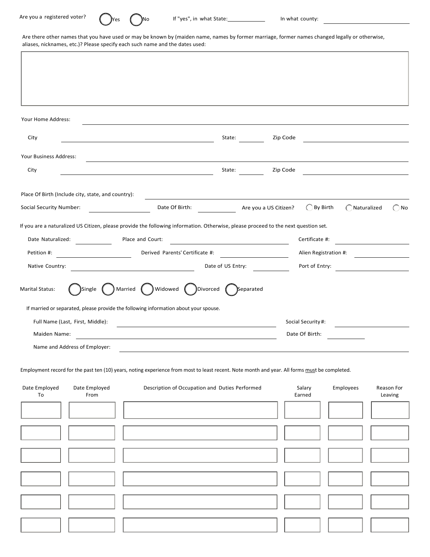$\overline{1}$ 



Are there other names that you have used or may be known by (maiden name, names by former marriage, former names changed legally or otherwise, aliases, nicknames, etc.)? Please specify each such name and the dates used:

| Your Home Address:                                  |                                                    |                                                                                                                                               |                                                                                                 |                       |                                                           |               |                       |
|-----------------------------------------------------|----------------------------------------------------|-----------------------------------------------------------------------------------------------------------------------------------------------|-------------------------------------------------------------------------------------------------|-----------------------|-----------------------------------------------------------|---------------|-----------------------|
| City                                                |                                                    |                                                                                                                                               | State:                                                                                          | Zip Code              |                                                           |               |                       |
| Your Business Address:                              |                                                    |                                                                                                                                               |                                                                                                 |                       |                                                           |               |                       |
| City                                                |                                                    | <u> 1980 - Johann Barn, fransk politik fotballski politik (d. 1980)</u>                                                                       | State:                                                                                          | Zip Code              |                                                           |               |                       |
|                                                     | Place Of Birth (Include city, state, and country): |                                                                                                                                               |                                                                                                 |                       |                                                           |               |                       |
| <b>Social Security Number:</b>                      |                                                    | Date Of Birth:                                                                                                                                |                                                                                                 | Are you a US Citizen? | $\bigcirc$ By Birth                                       | ◯ Naturalized | $\bigcap$ No          |
| Date Naturalized:<br>Petition #:<br>Native Country: |                                                    | Place and Court:<br>Derived Parents' Certificate #:                                                                                           | the control of the control of the control of the control of the control of<br>Date of US Entry: | <u>and the state</u>  | Certificate #:<br>Alien Registration #:<br>Port of Entry: |               |                       |
| <b>Marital Status:</b>                              | Married<br>Single                                  | Widowed<br>Divorced                                                                                                                           | Separated                                                                                       |                       |                                                           |               |                       |
|                                                     |                                                    | If married or separated, please provide the following information about your spouse.                                                          |                                                                                                 |                       |                                                           |               |                       |
|                                                     | Full Name (Last, First, Middle):                   |                                                                                                                                               |                                                                                                 |                       | Social Security#:                                         |               |                       |
| Maiden Name:                                        | Name and Address of Employer:                      |                                                                                                                                               |                                                                                                 |                       | Date Of Birth:                                            |               |                       |
|                                                     |                                                    | Employment record for the past ten (10) years, noting experience from most to least recent. Note month and year. All forms must be completed. |                                                                                                 |                       |                                                           |               |                       |
| Date Employed<br>To                                 | Date Employed<br>From                              | Description of Occupation and Duties Performed                                                                                                |                                                                                                 |                       | Salary<br>Earned                                          | Employees     | Reason For<br>Leaving |
|                                                     |                                                    |                                                                                                                                               |                                                                                                 |                       |                                                           |               |                       |
|                                                     |                                                    |                                                                                                                                               |                                                                                                 |                       |                                                           |               |                       |
|                                                     |                                                    |                                                                                                                                               |                                                                                                 |                       |                                                           |               |                       |
|                                                     |                                                    |                                                                                                                                               |                                                                                                 |                       |                                                           |               |                       |
|                                                     |                                                    |                                                                                                                                               |                                                                                                 |                       |                                                           |               |                       |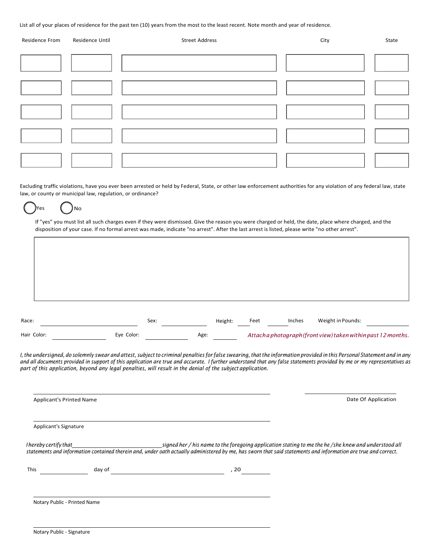List all of your places of residence for the past ten (10) years from the most to the least recent. Note month and year of residence.

| Residence From | Residence Until | <b>Street Address</b> | City | State |
|----------------|-----------------|-----------------------|------|-------|
|                |                 |                       |      |       |
|                |                 |                       |      |       |
|                |                 |                       |      |       |
|                |                 |                       |      |       |
|                |                 |                       |      |       |

Excluding traffic violations, have you ever been arrested or held by Federal, State, or other law enforcement authorities for any violation of any federal law, state law, or county or municipal law, regulation, or ordinance?

#### Yes ( )No

If "yes" you must list all such charges even if they were dismissed. Give the reason you were charged or held, the date, place where charged, and the disposition of your case. If no formal arrest was made, indicate "no arrest". After the last arrest is listed, please write "no other arrest".

| Race:       | Sex:       | Height: | Feet | Inches | Weight in Pounds:                                           |  |
|-------------|------------|---------|------|--------|-------------------------------------------------------------|--|
| Hair Color: | Eye Color: | Age:    |      |        | Attachaphotograph (front view) taken within past 12 months. |  |

I, the undersigned, do solemnly swear and attest, subject to criminal penalties for false swearing, that the information provided in this Personal Statement and in any and all documents provided in support of this application are true and accurate. I further understand that any false statements provided by me or my representatives as *part of this application, beyond any legal penalties, will result in the denial of the subject application.*

| <b>Applicant's Printed Name</b> |        | Date Of Application                                                                                                                                                                                                                                                    |  |
|---------------------------------|--------|------------------------------------------------------------------------------------------------------------------------------------------------------------------------------------------------------------------------------------------------------------------------|--|
| Applicant's Signature           |        |                                                                                                                                                                                                                                                                        |  |
| I hereby certify that           |        | signed her / his name to the foregoing application stating to me the he /she knew and understood all<br>statements and information contained therein and, under oath actually administered by me, has sworn that said statements and information are true and correct. |  |
| <b>This</b>                     | day of | , 20                                                                                                                                                                                                                                                                   |  |
| Notary Public - Printed Name    |        |                                                                                                                                                                                                                                                                        |  |
|                                 |        |                                                                                                                                                                                                                                                                        |  |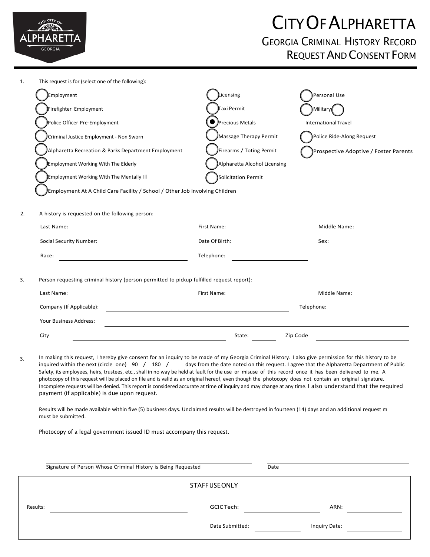

# CITYOF ALPHARETTA

#### GEORGIA CRIMINAL HISTORY RECORD REQUESTAND CONSENT FORM

1. This request is for (select one of the following): Employment Licensing Personal Use Firefighter Employment Taxi Permit **Military** Police Officer Pre-Employment ● Precious Metals International Travel Criminal Justice Employment - Non Sworn Massage Therapy Permit Police Ride-Along Request Alpharetta Recreation & Parks Department Employment **Firearms / Toting Permit** Prospective Adoptive / Foster Parents Employment Working With The Elderly Alpharetta Alcohol Licensing Employment Working With The Mentally Ill Solicitation Permit Employment At A Child Care Facility / School / Other Job Involving Children 2. A history is requested on the following person: Last Name: Cass Name: First Name: First Name: Middle Name: Middle Name: Middle Name: Cass Name: Cass Name: Cass Name: Cass Name: Cass Name: Cass Name: Cass Name: Cass Name: Cass Name: Cass Name: Cass Name: Cass Name: Cass Social Security Number: Date Of Birth: Sex: Race: Telephone: Telephone: Telephone: Telephone: Telephone: Telephone: Telephone: Telephone: Telephone: Telephone: Telephone: Telephone: Telephone: Telephone: Telephone: Telephone: Telephone: Telephone: Telephone: Telepho 3. Person requesting criminal history (person permitted to pickup fulfilled request report): First Name: Middle Name: Last Name: Telephone: Company (If Applicable): Your Business Address: City State: Zip Code 3. In making this request, I hereby give consent for an inquiry to be made of my Georgia Criminal History. I also give permission for this history to be inquired within the next (circle one) 90 / 180 / days from the date noted on this request. I agree that the Alpharetta Department of Public Safety, its employees, heirs, trustees, etc., shall in no way be held at fault for the use or misuse of this record once it has been delivered to me. A photocopy of this request will be placed on file and is valid as an original hereof, even though the photocopy does not contain an original signature. Incomplete requests will be denied. This report is considered accurate at time of inquiry and may change at any time. I also understand that the required payment (if applicable) is due upon request. Results will be made available within five (5) business days. Unclaimed results will be destroyed in fourteen (14) days and an additional request m must be submitted. Photocopy of a legal government issued ID must accompany this request. Signature of Person Whose Criminal History is Being Requested **Date** Date **STAFFUSEONLY** Results: GCIC Tech: ARN: Date Submitted: Inquiry Date: